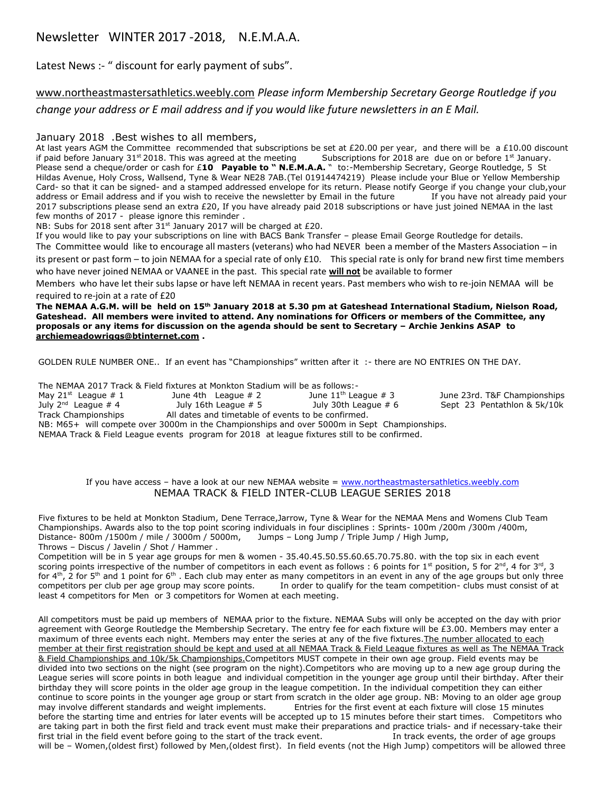## Newsletter WINTER 2017 -2018, N.E.M.A.A.

Latest News :- " discount for early payment of subs".

[www.northeastmastersathletics.weebly.com](http://www.northeastmastersathletics.weebly.com/) *Please inform Membership Secretary George Routledge if you change your address or E mail address and if you would like future newsletters in an E Mail.*

## January 2018 .Best wishes to all members,

At last years AGM the Committee recommended that subscriptions be set at £20.00 per year, and there will be a £10.00 discount if paid before January 31<sup>st</sup> 2018. This was agreed at the meeting Subscriptions for 2018 are due on or before 1st January. Please send a cheque/order or cash for £10 **Payable to "N.E.M.A.A.** " to:-Membership Secretary, George Routledge, 5 St Hildas Avenue, Holy Cross, Wallsend, Tyne & Wear NE28 7AB.(Tel 01914474219) Please include your Blue or Yellow Membership Card- so that it can be signed- and a stamped addressed envelope for its return. Please notify George if you change your club,your address or Email address and if you wish to receive the newsletter by Email in the future If you have not already paid your 2017 subscriptions please send an extra £20, If you have already paid 2018 subscriptions or have just joined NEMAA in the last few months of 2017 - please ignore this reminder .

NB: Subs for 2018 sent after 31<sup>st</sup> January 2017 will be charged at £20.

If you would like to pay your subscriptions on line with BACS Bank Transfer – please Email George Routledge for details. The Committee would like to encourage all masters (veterans) who had NEVER been a member of the Masters Association – in its present or past form – to join NEMAA for a special rate of only £10. This special rate is only for brand new first time members

who have never joined NEMAA or VAANEE in the past. This special rate **will not** be available to former

Members who have let their subs lapse or have left NEMAA in recent years. Past members who wish to re-join NEMAA will be required to re-join at a rate of £20

**The NEMAA A.G.M. will be held on 15th January 2018 at 5.30 pm at Gateshead International Stadium, Nielson Road, Gateshead. All members were invited to attend. Any nominations for Officers or members of the Committee, any proposals or any items for discussion on the agenda should be sent to Secretary – Archie Jenkins ASAP to [archiemeadowriggs@btinternet.com](mailto:archiemeadowriggs@btinternet.com) .** 

GOLDEN RULE NUMBER ONE.. If an event has "Championships" written after it :- there are NO ENTRIES ON THE DAY.

The NEMAA 2017 Track & Field fixtures at Monkton Stadium will be as follows:-<br>May 21<sup>st</sup> League # 1 1 10 11<sup>th</sup> League # 3

May  $21^{st}$  League # 1 June 4th League # 2 June  $11^{th}$  League # 3 June 23rd. T&F Championships July  $2^{nd}$  League # 4 July 16th League  $\# 5$  July 30th League  $\# 6$  Sept 23 Pentathlon & 5k/10k Track Championships All dates and timetable of events to be confirmed.

NB: M65+ will compete over 3000m in the Championships and over 5000m in Sept Championships. NEMAA Track & Field League events program for 2018 at league fixtures still to be confirmed.

> If you have access – have a look at our new NEMAA website = [www.northeastmastersathletics.weebly.com](http://www.northeastmastersathletics.weebly.com/) NEMAA TRACK & FIELD INTER-CLUB LEAGUE SERIES 2018

Five fixtures to be held at Monkton Stadium, Dene Terrace,Jarrow, Tyne & Wear for the NEMAA Mens and Womens Club Team Championships. Awards also to the top point scoring individuals in four disciplines : Sprints- 100m /200m /300m /400m, Distance- 800m /1500m / mile / 3000m / 5000m, Jumps – Long Jump / Triple Jump / High Jump, Throws – Discus / Javelin / Shot / Hammer .

Competition will be in 5 year age groups for men & women - 35.40.45.50.55.60.65.70.75.80. with the top six in each event scoring points irrespective of the number of competitors in each event as follows : 6 points for 1<sup>st</sup> position, 5 for 2<sup>nd</sup>, 4 for 3<sup>rd</sup>, 3 for  $4<sup>th</sup>$ , 2 for 5<sup>th</sup> and 1 point for 6<sup>th</sup>. Each club may enter as many competitors in an event in any of the age groups but only three competitors per club per age group may score points. In order to qualify for the team competition- clubs must consist of at least 4 competitors for Men or 3 competitors for Women at each meeting.

All competitors must be paid up members of NEMAA prior to the fixture. NEMAA Subs will only be accepted on the day with prior agreement with George Routledge the Membership Secretary. The entry fee for each fixture will be £3.00. Members may enter a maximum of three events each night. Members may enter the series at any of the five fixtures. The number allocated to each member at their first registration should be kept and used at all NEMAA Track & Field League fixtures as well as The NEMAA Track & Field Championships and 10k/5k Championships.Competitors MUST compete in their own age group. Field events may be divided into two sections on the night (see program on the night).Competitors who are moving up to a new age group during the League series will score points in both league and individual competition in the younger age group until their birthday. After their birthday they will score points in the older age group in the league competition. In the individual competition they can either continue to score points in the younger age group or start from scratch in the older age group. NB: Moving to an older age group may involve different standards and weight implements. Entries for the first event at each fixture will close 15 minutes before the starting time and entries for later events will be accepted up to 15 minutes before their start times. Competitors who are taking part in both the first field and track event must make their preparations and practice trials- and if necessary-take their first trial in the field event before going to the start of the track event. In track events, the order of age groups will be – Women,(oldest first) followed by Men,(oldest first). In field events (not the High Jump) competitors will be allowed three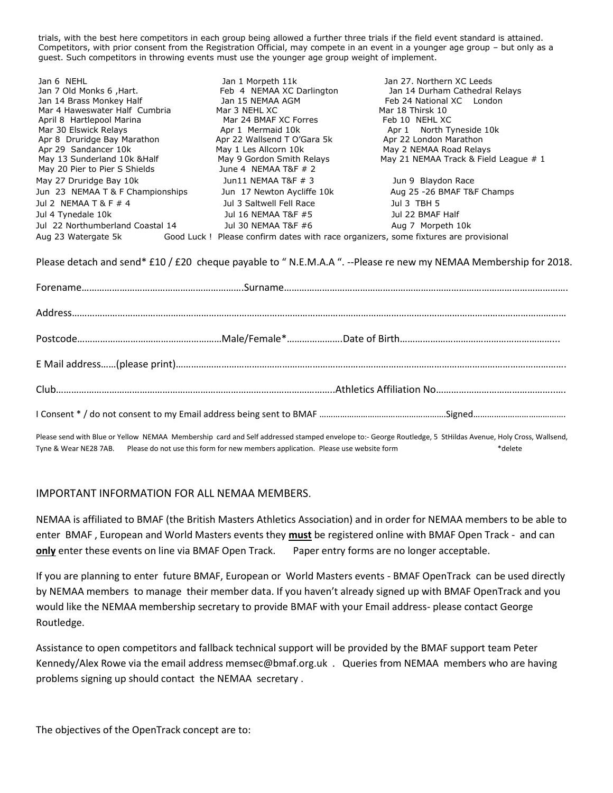trials, with the best here competitors in each group being allowed a further three trials if the field event standard is attained. Competitors, with prior consent from the Registration Official, may compete in an event in a younger age group – but only as a guest. Such competitors in throwing events must use the younger age group weight of implement.

| Jan 6 NEHL<br>Jan 7 Old Monks 6, Hart.<br>Jan 14 Brass Monkey Half<br>Mar 4 Haweswater Half Cumbria<br>April 8 Hartlepool Marina<br>Mar 30 Elswick Relays<br>Apr 8 Druridge Bay Marathon<br>Apr 29 Sandancer 10k<br>May 13 Sunderland 10k & Half<br>May 20 Pier to Pier S Shields | Jan 1 Morpeth 11k<br>Feb 4 NEMAA XC Darlington<br>Jan 15 NEMAA AGM<br>Mar 3 NEHL XC<br>Mar 24 BMAF XC Forres<br>Apr 1 Mermaid 10k<br>Apr 22 Wallsend T O'Gara 5k<br>May 1 Les Allcorn 10k<br>May 9 Gordon Smith Relays<br>June 4 NEMAA T&F $# 2$ | Jan 27. Northern XC Leeds<br>Jan 14 Durham Cathedral Relays<br>Feb 24 National XC London<br>Mar 18 Thirsk 10<br>Feb 10 NEHL XC<br>Apr 1 North Tyneside 10k<br>Apr 22 London Marathon<br>May 2 NEMAA Road Relays<br>May 21 NEMAA Track & Field League # 1 |
|-----------------------------------------------------------------------------------------------------------------------------------------------------------------------------------------------------------------------------------------------------------------------------------|--------------------------------------------------------------------------------------------------------------------------------------------------------------------------------------------------------------------------------------------------|----------------------------------------------------------------------------------------------------------------------------------------------------------------------------------------------------------------------------------------------------------|
| May 27 Druridge Bay 10k                                                                                                                                                                                                                                                           | Jun11 NEMAA T&F $\#$ 3                                                                                                                                                                                                                           | Jun 9 Blaydon Race                                                                                                                                                                                                                                       |
| Jun 23 NEMAA T & F Championships                                                                                                                                                                                                                                                  | Jun 17 Newton Aycliffe 10k                                                                                                                                                                                                                       | Aug 25 -26 BMAF T&F Champs                                                                                                                                                                                                                               |
| Jul 2 NEMAA T & F $\#$ 4                                                                                                                                                                                                                                                          | Jul 3 Saltwell Fell Race                                                                                                                                                                                                                         | Jul 3 TBH 5                                                                                                                                                                                                                                              |
| Jul 4 Tynedale 10k                                                                                                                                                                                                                                                                | Jul 16 NEMAA T&F #5                                                                                                                                                                                                                              | Jul 22 BMAF Half                                                                                                                                                                                                                                         |
| Jul 22 Northumberland Coastal 14                                                                                                                                                                                                                                                  | Jul 30 NEMAA T&F #6                                                                                                                                                                                                                              | Aug 7 Morpeth 10k                                                                                                                                                                                                                                        |
| Aug 23 Watergate 5k                                                                                                                                                                                                                                                               | Good Luck ! Please confirm dates with race organizers, some fixtures are provisional                                                                                                                                                             |                                                                                                                                                                                                                                                          |

Please detach and send\* £10 / £20 cheque payable to "N.E.M.A.A ". --Please re new my NEMAA Membership for 2018.

Please send with Blue or Yellow NEMAA Membership card and Self addressed stamped envelope to:- George Routledge, 5 StHildas Avenue, Holy Cross, Wallsend, Tyne & Wear NE28 7AB. Please do not use this form for new members application. Please use website form  $*$ delete

## IMPORTANT INFORMATION FOR ALL NEMAA MEMBERS.

NEMAA is affiliated to BMAF (the British Masters Athletics Association) and in order for NEMAA members to be able to enter BMAF , European and World Masters events they **must** be registered online with BMAF Open Track - and can **only** enter these events on line via BMAF Open Track. Paper entry forms are no longer acceptable.

If you are planning to enter future BMAF, European or World Masters events - BMAF OpenTrack can be used directly by NEMAA members to manage their member data. If you haven't already signed up with BMAF OpenTrack and you would like the NEMAA membership secretary to provide BMAF with your Email address- please contact George Routledge.

Assistance to open competitors and fallback technical support will be provided by the BMAF support team Peter Kennedy/Alex Rowe via the email address memsec@bmaf.org.uk . Queries from NEMAA members who are having problems signing up should contact the NEMAA secretary .

The objectives of the OpenTrack concept are to: